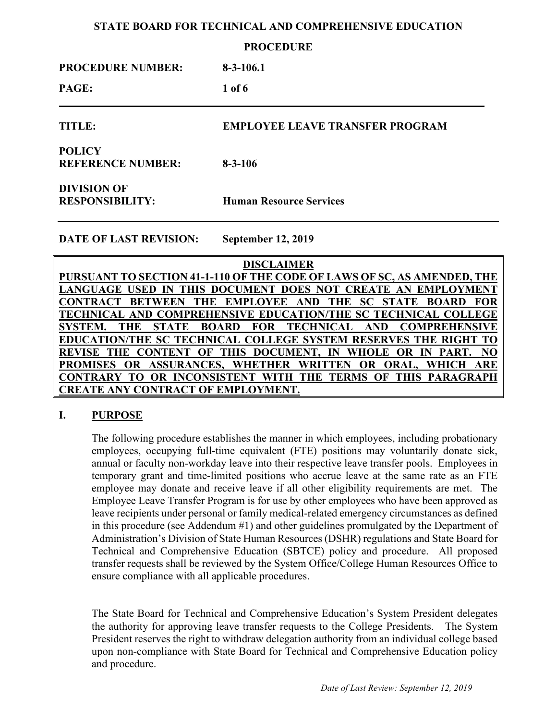#### **PROCEDURE**

| <b>PROCEDURE NUMBER:</b>                     | $8-3-106.1$                            |
|----------------------------------------------|----------------------------------------|
| PAGE:                                        | $1$ of 6                               |
| TITLE:                                       | <b>EMPLOYEE LEAVE TRANSFER PROGRAM</b> |
| <b>POLICY</b><br><b>REFERENCE NUMBER:</b>    | $8 - 3 - 106$                          |
| <b>DIVISION OF</b><br><b>RESPONSIBILITY:</b> | <b>Human Resource Services</b>         |
| <b>DATE OF LAST REVISION:</b>                | <b>September 12, 2019</b>              |

**DISCLAIMER PURSUANT TO SECTION 41-1-110 OF THE CODE OF LAWS OF SC, AS AMENDED, THE LANGUAGE USED IN THIS DOCUMENT DOES NOT CREATE AN EMPLOYMENT CONTRACT BETWEEN THE EMPLOYEE AND THE SC STATE BOARD FOR TECHNICAL AND COMPREHENSIVE EDUCATION/THE SC TECHNICAL COLLEGE SYSTEM. THE STATE BOARD FOR TECHNICAL AND COMPREHENSIVE EDUCATION/THE SC TECHNICAL COLLEGE SYSTEM RESERVES THE RIGHT TO REVISE THE CONTENT OF THIS DOCUMENT, IN WHOLE OR IN PART. NO PROMISES OR ASSURANCES, WHETHER WRITTEN OR ORAL, WHICH ARE CONTRARY TO OR INCONSISTENT WITH THE TERMS OF THIS PARAGRAPH CREATE ANY CONTRACT OF EMPLOYMENT.**

## **I. PURPOSE**

The following procedure establishes the manner in which employees, including probationary employees, occupying full-time equivalent (FTE) positions may voluntarily donate sick, annual or faculty non-workday leave into their respective leave transfer pools. Employees in temporary grant and time-limited positions who accrue leave at the same rate as an FTE employee may donate and receive leave if all other eligibility requirements are met. The Employee Leave Transfer Program is for use by other employees who have been approved as leave recipients under personal or family medical-related emergency circumstances as defined in this procedure (see Addendum #1) and other guidelines promulgated by the Department of Administration's Division of State Human Resources (DSHR) regulations and State Board for Technical and Comprehensive Education (SBTCE) policy and procedure. All proposed transfer requests shall be reviewed by the System Office/College Human Resources Office to ensure compliance with all applicable procedures.

The State Board for Technical and Comprehensive Education's System President delegates the authority for approving leave transfer requests to the College Presidents. The System President reserves the right to withdraw delegation authority from an individual college based upon non-compliance with State Board for Technical and Comprehensive Education policy and procedure.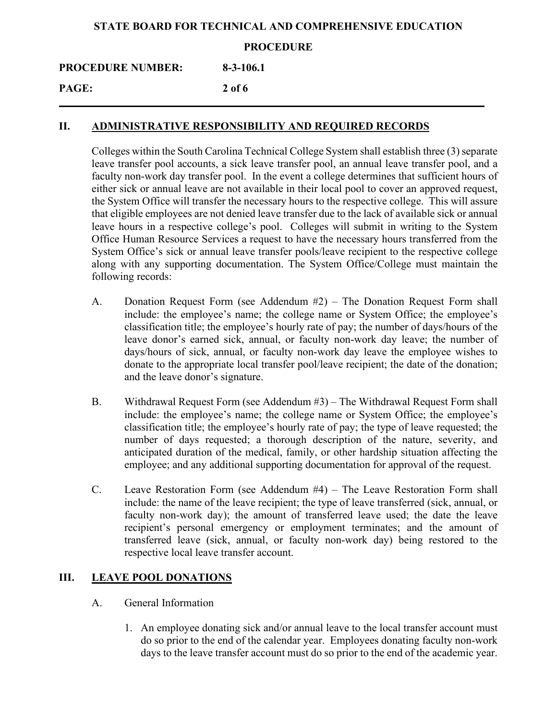#### **PROCEDURE**

**PROCEDURE NUMBER: 8-3-106.1**

**PAGE: 2 of 6**

#### **II. ADMINISTRATIVE RESPONSIBILITY AND REQUIRED RECORDS**

Colleges within the South Carolina Technical College System shall establish three (3) separate leave transfer pool accounts, a sick leave transfer pool, an annual leave transfer pool, and a faculty non-work day transfer pool. In the event a college determines that sufficient hours of either sick or annual leave are not available in their local pool to cover an approved request, the System Office will transfer the necessary hours to the respective college. This will assure that eligible employees are not denied leave transfer due to the lack of available sick or annual leave hours in a respective college's pool. Colleges will submit in writing to the System Office Human Resource Services a request to have the necessary hours transferred from the System Office's sick or annual leave transfer pools/leave recipient to the respective college along with any supporting documentation. The System Office/College must maintain the following records:

- A. Donation Request Form (see Addendum #2) The Donation Request Form shall include: the employee's name; the college name or System Office; the employee's classification title; the employee's hourly rate of pay; the number of days/hours of the leave donor's earned sick, annual, or faculty non-work day leave; the number of days/hours of sick, annual, or faculty non-work day leave the employee wishes to donate to the appropriate local transfer pool/leave recipient; the date of the donation; and the leave donor's signature.
- B. Withdrawal Request Form (see Addendum #3) The Withdrawal Request Form shall include: the employee's name; the college name or System Office; the employee's classification title; the employee's hourly rate of pay; the type of leave requested; the number of days requested; a thorough description of the nature, severity, and anticipated duration of the medical, family, or other hardship situation affecting the employee; and any additional supporting documentation for approval of the request.
- C. Leave Restoration Form (see Addendum #4) The Leave Restoration Form shall include: the name of the leave recipient; the type of leave transferred (sick, annual, or faculty non-work day); the amount of transferred leave used; the date the leave recipient's personal emergency or employment terminates; and the amount of transferred leave (sick, annual, or faculty non-work day) being restored to the respective local leave transfer account.

## **III. LEAVE POOL DONATIONS**

- A. General Information
	- 1. An employee donating sick and/or annual leave to the local transfer account must do so prior to the end of the calendar year. Employees donating faculty non-work days to the leave transfer account must do so prior to the end of the academic year.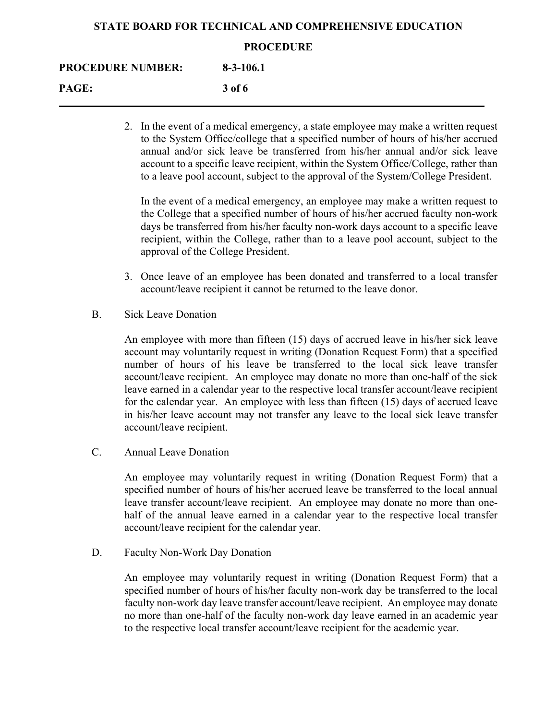#### **PROCEDURE**

### **PROCEDURE NUMBER: 8-3-106.1**

**PAGE: 3 of 6**

2. In the event of a medical emergency, a state employee may make a written request to the System Office/college that a specified number of hours of his/her accrued annual and/or sick leave be transferred from his/her annual and/or sick leave account to a specific leave recipient, within the System Office/College, rather than to a leave pool account, subject to the approval of the System/College President.

In the event of a medical emergency, an employee may make a written request to the College that a specified number of hours of his/her accrued faculty non-work days be transferred from his/her faculty non-work days account to a specific leave recipient, within the College, rather than to a leave pool account, subject to the approval of the College President.

- 3. Once leave of an employee has been donated and transferred to a local transfer account/leave recipient it cannot be returned to the leave donor.
- B. Sick Leave Donation

An employee with more than fifteen (15) days of accrued leave in his/her sick leave account may voluntarily request in writing (Donation Request Form) that a specified number of hours of his leave be transferred to the local sick leave transfer account/leave recipient. An employee may donate no more than one-half of the sick leave earned in a calendar year to the respective local transfer account/leave recipient for the calendar year. An employee with less than fifteen (15) days of accrued leave in his/her leave account may not transfer any leave to the local sick leave transfer account/leave recipient.

C. Annual Leave Donation

An employee may voluntarily request in writing (Donation Request Form) that a specified number of hours of his/her accrued leave be transferred to the local annual leave transfer account/leave recipient. An employee may donate no more than onehalf of the annual leave earned in a calendar year to the respective local transfer account/leave recipient for the calendar year.

D. Faculty Non-Work Day Donation

An employee may voluntarily request in writing (Donation Request Form) that a specified number of hours of his/her faculty non-work day be transferred to the local faculty non-work day leave transfer account/leave recipient. An employee may donate no more than one-half of the faculty non-work day leave earned in an academic year to the respective local transfer account/leave recipient for the academic year.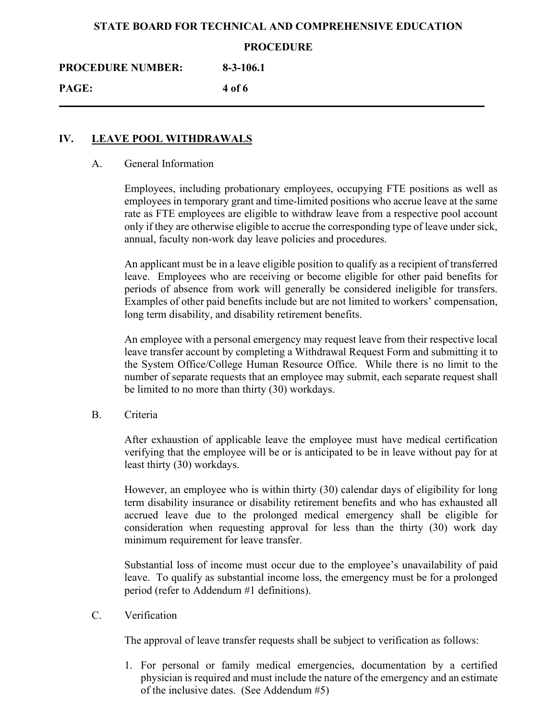#### **PROCEDURE**

**PROCEDURE NUMBER: 8-3-106.1**

**PAGE: 4 of 6**

## **IV. LEAVE POOL WITHDRAWALS**

#### A. General Information

Employees, including probationary employees, occupying FTE positions as well as employees in temporary grant and time-limited positions who accrue leave at the same rate as FTE employees are eligible to withdraw leave from a respective pool account only if they are otherwise eligible to accrue the corresponding type of leave under sick, annual, faculty non-work day leave policies and procedures.

An applicant must be in a leave eligible position to qualify as a recipient of transferred leave. Employees who are receiving or become eligible for other paid benefits for periods of absence from work will generally be considered ineligible for transfers. Examples of other paid benefits include but are not limited to workers' compensation, long term disability, and disability retirement benefits.

An employee with a personal emergency may request leave from their respective local leave transfer account by completing a Withdrawal Request Form and submitting it to the System Office/College Human Resource Office. While there is no limit to the number of separate requests that an employee may submit, each separate request shall be limited to no more than thirty (30) workdays.

B. Criteria

After exhaustion of applicable leave the employee must have medical certification verifying that the employee will be or is anticipated to be in leave without pay for at least thirty (30) workdays.

However, an employee who is within thirty (30) calendar days of eligibility for long term disability insurance or disability retirement benefits and who has exhausted all accrued leave due to the prolonged medical emergency shall be eligible for consideration when requesting approval for less than the thirty (30) work day minimum requirement for leave transfer.

Substantial loss of income must occur due to the employee's unavailability of paid leave. To qualify as substantial income loss, the emergency must be for a prolonged period (refer to Addendum #1 definitions).

C. Verification

The approval of leave transfer requests shall be subject to verification as follows:

1. For personal or family medical emergencies, documentation by a certified physician is required and must include the nature of the emergency and an estimate of the inclusive dates. (See Addendum #5)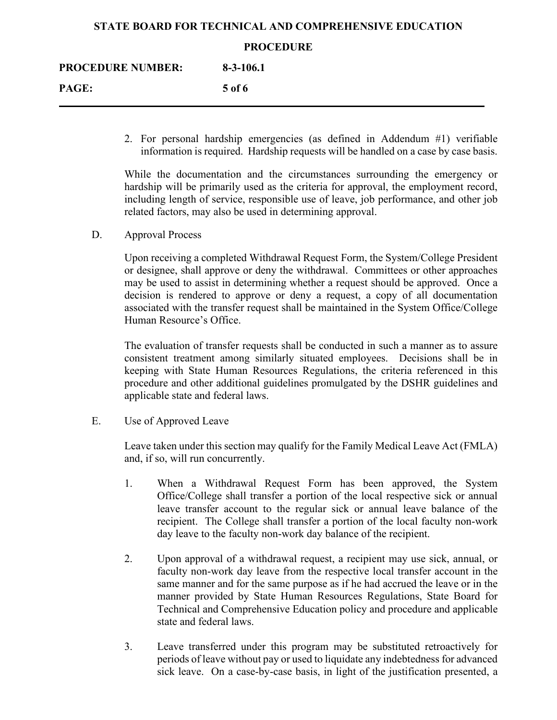#### **PROCEDURE**

| <b>PROCEDURE NUMBER:</b> | $8 - 3 - 106.1$ |  |
|--------------------------|-----------------|--|
| <b>PAGE:</b>             | 5 of 6          |  |
|                          |                 |  |

2. For personal hardship emergencies (as defined in Addendum #1) verifiable information is required. Hardship requests will be handled on a case by case basis.

While the documentation and the circumstances surrounding the emergency or hardship will be primarily used as the criteria for approval, the employment record, including length of service, responsible use of leave, job performance, and other job related factors, may also be used in determining approval.

D. Approval Process

Upon receiving a completed Withdrawal Request Form, the System/College President or designee, shall approve or deny the withdrawal. Committees or other approaches may be used to assist in determining whether a request should be approved. Once a decision is rendered to approve or deny a request, a copy of all documentation associated with the transfer request shall be maintained in the System Office/College Human Resource's Office.

The evaluation of transfer requests shall be conducted in such a manner as to assure consistent treatment among similarly situated employees. Decisions shall be in keeping with State Human Resources Regulations, the criteria referenced in this procedure and other additional guidelines promulgated by the DSHR guidelines and applicable state and federal laws.

E. Use of Approved Leave

Leave taken under this section may qualify for the Family Medical Leave Act (FMLA) and, if so, will run concurrently.

- 1. When a Withdrawal Request Form has been approved, the System Office/College shall transfer a portion of the local respective sick or annual leave transfer account to the regular sick or annual leave balance of the recipient. The College shall transfer a portion of the local faculty non-work day leave to the faculty non-work day balance of the recipient.
- 2. Upon approval of a withdrawal request, a recipient may use sick, annual, or faculty non-work day leave from the respective local transfer account in the same manner and for the same purpose as if he had accrued the leave or in the manner provided by State Human Resources Regulations, State Board for Technical and Comprehensive Education policy and procedure and applicable state and federal laws.
- 3. Leave transferred under this program may be substituted retroactively for periods of leave without pay or used to liquidate any indebtedness for advanced sick leave. On a case-by-case basis, in light of the justification presented, a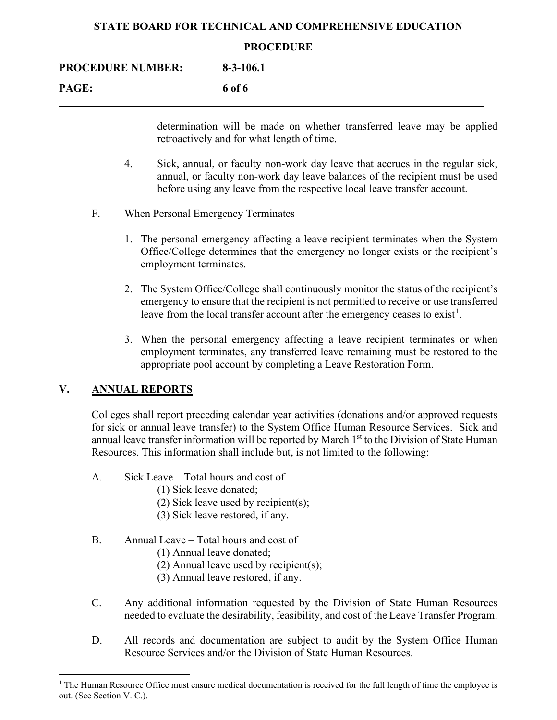#### **PROCEDURE**

**PAGE: 6 of 6**

determination will be made on whether transferred leave may be applied retroactively and for what length of time.

- 4. Sick, annual, or faculty non-work day leave that accrues in the regular sick, annual, or faculty non-work day leave balances of the recipient must be used before using any leave from the respective local leave transfer account.
- F. When Personal Emergency Terminates
	- 1. The personal emergency affecting a leave recipient terminates when the System Office/College determines that the emergency no longer exists or the recipient's employment terminates.
	- 2. The System Office/College shall continuously monitor the status of the recipient's emergency to ensure that the recipient is not permitted to receive or use transferred leave from the local transfer account after the emergency ceases to exist<sup>[1](#page-5-0)</sup>.
	- 3. When the personal emergency affecting a leave recipient terminates or when employment terminates, any transferred leave remaining must be restored to the appropriate pool account by completing a Leave Restoration Form.

## **V. ANNUAL REPORTS**

Colleges shall report preceding calendar year activities (donations and/or approved requests for sick or annual leave transfer) to the System Office Human Resource Services. Sick and annual leave transfer information will be reported by March  $1<sup>st</sup>$  to the Division of State Human Resources. This information shall include but, is not limited to the following:

- A. Sick Leave Total hours and cost of
	- (1) Sick leave donated;
	- (2) Sick leave used by recipient(s);
	- (3) Sick leave restored, if any.
- B. Annual Leave Total hours and cost of
	- (1) Annual leave donated;
	- (2) Annual leave used by recipient(s);
	- (3) Annual leave restored, if any.
- C. Any additional information requested by the Division of State Human Resources needed to evaluate the desirability, feasibility, and cost of the Leave Transfer Program.
- D. All records and documentation are subject to audit by the System Office Human Resource Services and/or the Division of State Human Resources.

<span id="page-5-0"></span> $<sup>1</sup>$  The Human Resource Office must ensure medical documentation is received for the full length of time the employee is</sup> out. (See Section V. C.).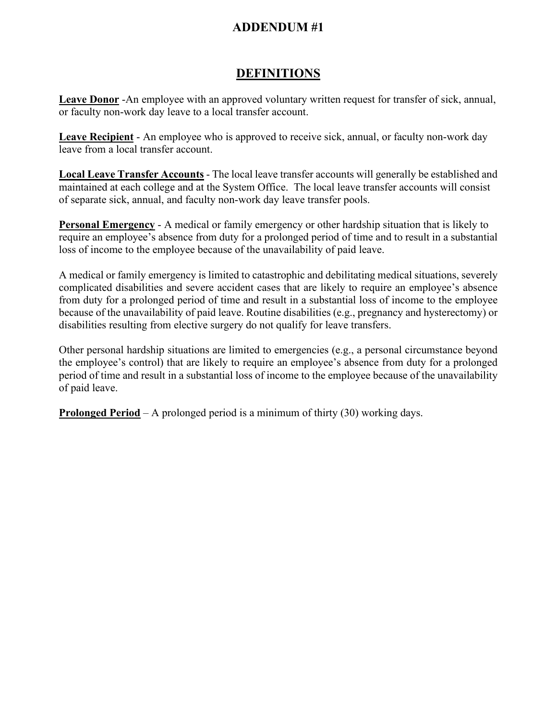# **DEFINITIONS**

**Leave Donor** -An employee with an approved voluntary written request for transfer of sick, annual, or faculty non-work day leave to a local transfer account.

**Leave Recipient** - An employee who is approved to receive sick, annual, or faculty non-work day leave from a local transfer account.

**Local Leave Transfer Accounts** - The local leave transfer accounts will generally be established and maintained at each college and at the System Office. The local leave transfer accounts will consist of separate sick, annual, and faculty non-work day leave transfer pools.

**Personal Emergency** - A medical or family emergency or other hardship situation that is likely to require an employee's absence from duty for a prolonged period of time and to result in a substantial loss of income to the employee because of the unavailability of paid leave.

A medical or family emergency is limited to catastrophic and debilitating medical situations, severely complicated disabilities and severe accident cases that are likely to require an employee's absence from duty for a prolonged period of time and result in a substantial loss of income to the employee because of the unavailability of paid leave. Routine disabilities (e.g., pregnancy and hysterectomy) or disabilities resulting from elective surgery do not qualify for leave transfers.

Other personal hardship situations are limited to emergencies (e.g., a personal circumstance beyond the employee's control) that are likely to require an employee's absence from duty for a prolonged period of time and result in a substantial loss of income to the employee because of the unavailability of paid leave.

**Prolonged Period** – A prolonged period is a minimum of thirty (30) working days.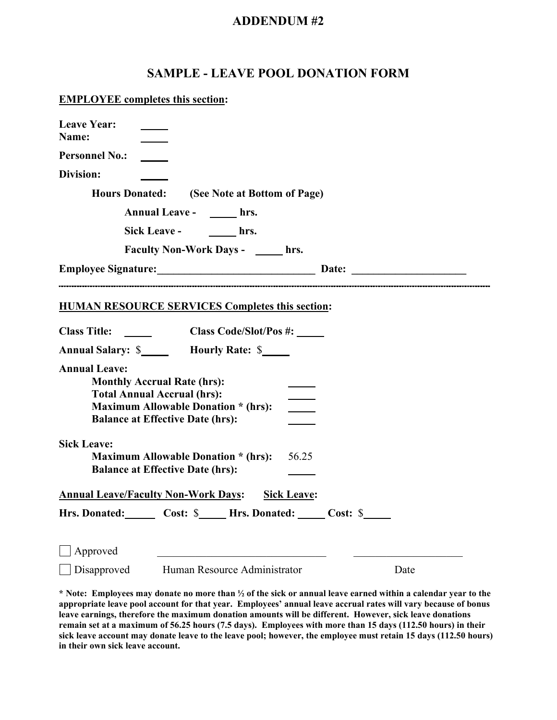# **SAMPLE - LEAVE POOL DONATION FORM**

#### **EMPLOYEE completes this section:**

| <b>Leave Year:</b><br>Name:                                                                                                                 |                                            |                            |      |
|---------------------------------------------------------------------------------------------------------------------------------------------|--------------------------------------------|----------------------------|------|
| <b>Personnel No.:</b>                                                                                                                       |                                            |                            |      |
| Division:                                                                                                                                   |                                            |                            |      |
| <b>Hours Donated:</b>                                                                                                                       | (See Note at Bottom of Page)               |                            |      |
|                                                                                                                                             | Annual Leave - hrs.                        |                            |      |
|                                                                                                                                             | Sick Leave - hrs.                          |                            |      |
|                                                                                                                                             | Faculty Non-Work Days - ______ hrs.        |                            |      |
| <b>Employee Signature:</b> Date: Date:                                                                                                      |                                            |                            |      |
| <b>HUMAN RESOURCE SERVICES Completes this section:</b>                                                                                      |                                            |                            |      |
| Class Title: _____                                                                                                                          | Class Code/Slot/Pos #: _____               |                            |      |
| Annual Salary: \$________ Hourly Rate: \$_____                                                                                              |                                            |                            |      |
| <b>Annual Leave:</b><br><b>Monthly Accrual Rate (hrs):</b><br><b>Total Annual Accrual (hrs):</b><br><b>Balance at Effective Date (hrs):</b> | <b>Maximum Allowable Donation * (hrs):</b> | $\mathcal{L}^{\text{max}}$ |      |
| <b>Sick Leave:</b><br><b>Balance at Effective Date (hrs):</b>                                                                               | <b>Maximum Allowable Donation * (hrs):</b> | 56.25                      |      |
| <b>Annual Leave/Faculty Non-Work Days:</b>                                                                                                  |                                            | <b>Sick Leave:</b>         |      |
| Hrs. Donated: Cost: \$ Hrs. Donated: Cost: \$                                                                                               |                                            |                            |      |
| Approved                                                                                                                                    | Disapproved Human Resource Administrator   |                            | Date |

**\* Note: Employees may donate no more than ½ of the sick or annual leave earned within a calendar year to the appropriate leave pool account for that year. Employees' annual leave accrual rates will vary because of bonus leave earnings, therefore the maximum donation amounts will be different. However, sick leave donations remain set at a maximum of 56.25 hours (7.5 days). Employees with more than 15 days (112.50 hours) in their sick leave account may donate leave to the leave pool; however, the employee must retain 15 days (112.50 hours) in their own sick leave account.**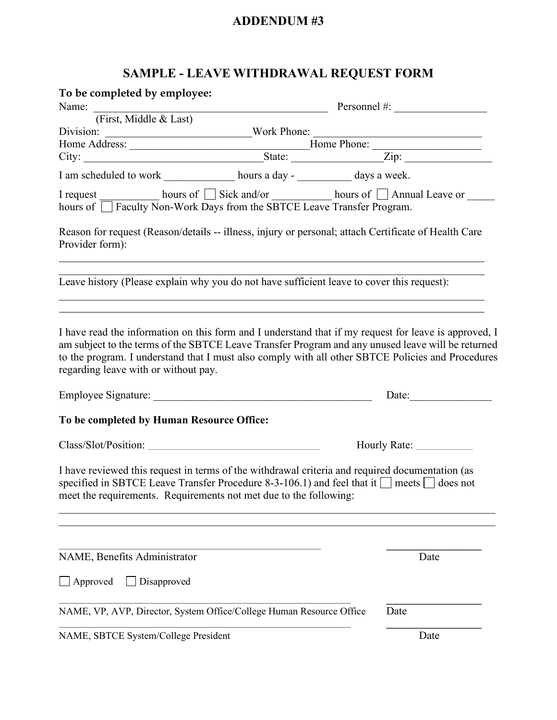# **SAMPLE - LEAVE WITHDRAWAL REQUEST FORM**

| To be completed by employee:              |                                                                                                                                                                                                                                                                                                                 |              |  |  |
|-------------------------------------------|-----------------------------------------------------------------------------------------------------------------------------------------------------------------------------------------------------------------------------------------------------------------------------------------------------------------|--------------|--|--|
| Name: Tirst, Middle & Last)               | Personnel #: $\qquad \qquad$                                                                                                                                                                                                                                                                                    |              |  |  |
|                                           |                                                                                                                                                                                                                                                                                                                 |              |  |  |
|                                           |                                                                                                                                                                                                                                                                                                                 |              |  |  |
|                                           |                                                                                                                                                                                                                                                                                                                 |              |  |  |
|                                           |                                                                                                                                                                                                                                                                                                                 |              |  |  |
|                                           | I am scheduled to work ______________ hours a day - __________ days a week.                                                                                                                                                                                                                                     |              |  |  |
|                                           | I request ___________ hours of □ Sick and/or ___________ hours of □ Annual Leave or ______<br>hours of □ Faculty Non-Work Days from the SBTCE Leave Transfer Program.                                                                                                                                           |              |  |  |
| Provider form):                           | Reason for request (Reason/details -- illness, injury or personal; attach Certificate of Health Care                                                                                                                                                                                                            |              |  |  |
|                                           | Leave history (Please explain why you do not have sufficient leave to cover this request):                                                                                                                                                                                                                      |              |  |  |
| regarding leave with or without pay.      | I have read the information on this form and I understand that if my request for leave is approved, I<br>am subject to the terms of the SBTCE Leave Transfer Program and any unused leave will be returned<br>to the program. I understand that I must also comply with all other SBTCE Policies and Procedures | Date:        |  |  |
| To be completed by Human Resource Office: |                                                                                                                                                                                                                                                                                                                 |              |  |  |
| Class/Slot/Position:                      |                                                                                                                                                                                                                                                                                                                 | Hourly Rate: |  |  |
|                                           | I have reviewed this request in terms of the withdrawal criteria and required documentation (as<br>specified in SBTCE Leave Transfer Procedure 8-3-106.1) and feel that it $\Box$ meets $\Box$ does not<br>meet the requirements. Requirements not met due to the following:                                    |              |  |  |
| NAME, Benefits Administrator              |                                                                                                                                                                                                                                                                                                                 | Date         |  |  |
| $\Box$ Approved<br>Disapproved            |                                                                                                                                                                                                                                                                                                                 |              |  |  |
|                                           | NAME, VP, AVP, Director, System Office/College Human Resource Office                                                                                                                                                                                                                                            | Date         |  |  |
| NAME, SBTCE System/College President      |                                                                                                                                                                                                                                                                                                                 | Date         |  |  |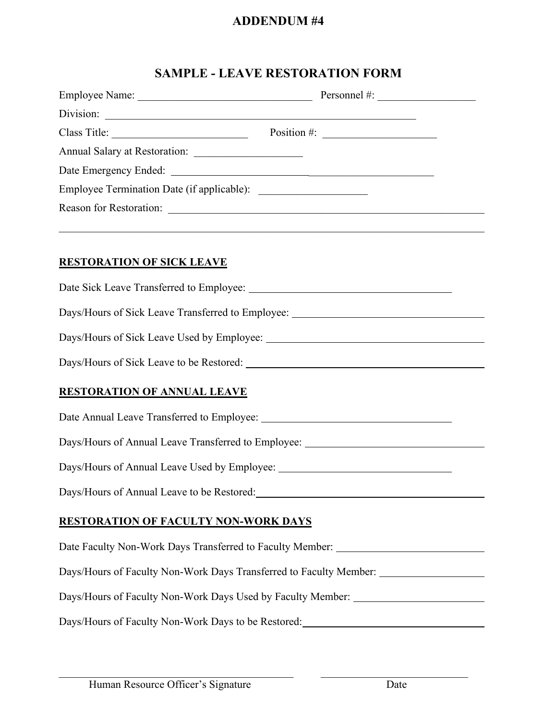# **SAMPLE - LEAVE RESTORATION FORM**

| Class Title: Position #:                                                                                                                                                                                                             |  |
|--------------------------------------------------------------------------------------------------------------------------------------------------------------------------------------------------------------------------------------|--|
|                                                                                                                                                                                                                                      |  |
| Date Emergency Ended: <u>New York: New York: New York: New York: New York: New York: New York: New York: New York: New York: New York: New York: New York: New York: New York: New York: New York: New York: New York: New York:</u> |  |
|                                                                                                                                                                                                                                      |  |
|                                                                                                                                                                                                                                      |  |
|                                                                                                                                                                                                                                      |  |
| <b>RESTORATION OF SICK LEAVE</b>                                                                                                                                                                                                     |  |
|                                                                                                                                                                                                                                      |  |
| Days/Hours of Sick Leave Transferred to Employee: ______________________________                                                                                                                                                     |  |
|                                                                                                                                                                                                                                      |  |
|                                                                                                                                                                                                                                      |  |
| <b>RESTORATION OF ANNUAL LEAVE</b>                                                                                                                                                                                                   |  |
|                                                                                                                                                                                                                                      |  |
| Days/Hours of Annual Leave Transferred to Employee: ____________________________                                                                                                                                                     |  |
|                                                                                                                                                                                                                                      |  |
| Days/Hours of Annual Leave to be Restored:                                                                                                                                                                                           |  |
| <b>RESTORATION OF FACULTY NON-WORK DAYS</b>                                                                                                                                                                                          |  |
| Date Faculty Non-Work Days Transferred to Faculty Member: _______________________                                                                                                                                                    |  |
| Days/Hours of Faculty Non-Work Days Transferred to Faculty Member: ______________                                                                                                                                                    |  |
| Days/Hours of Faculty Non-Work Days Used by Faculty Member: ____________________                                                                                                                                                     |  |
| Days/Hours of Faculty Non-Work Days to be Restored:                                                                                                                                                                                  |  |

 $\_$  , and the contribution of the contribution of  $\_$  . The contribution of  $\_$  ,  $\_$  ,  $\_$  ,  $\_$  ,  $\_$  ,  $\_$  ,  $\_$  ,  $\_$  ,  $\_$  ,  $\_$  ,  $\_$  ,  $\_$  ,  $\_$  ,  $\_$  ,  $\_$  ,  $\_$  ,  $\_$  ,  $\_$  ,  $\_$  ,  $\_$  ,  $\_$  ,  $\_$  ,  $\_$  ,  $\_$  ,